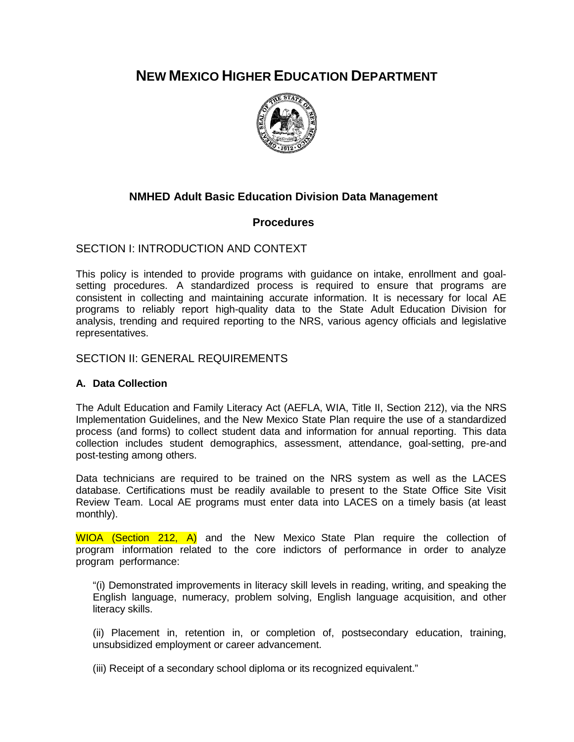**NEW MEXICO HIGHER EDUCATION DEPARTMENT**



# **NMHED Adult Basic Education Division Data Management**

# **Procedures**

# SECTION I: INTRODUCTION AND CONTEXT

This policy is intended to provide programs with guidance on intake, enrollment and goalsetting procedures. A standardized process is required to ensure that programs are consistent in collecting and maintaining accurate information. It is necessary for local AE programs to reliably report high-quality data to the State Adult Education Division for analysis, trending and required reporting to the NRS, various agency officials and legislative representatives.

# SECTION II: GENERAL REQUIREMENTS

# **A. Data Collection**

The Adult Education and Family Literacy Act (AEFLA, WIA, Title II, Section 212), via the NRS Implementation Guidelines, and the New Mexico State Plan require the use of a standardized process (and forms) to collect student data and information for annual reporting. This data collection includes student demographics, assessment, attendance, goal-setting, pre-and post-testing among others.

Data technicians are required to be trained on the NRS system as well as the LACES database. Certifications must be readily available to present to the State Office Site Visit Review Team. Local AE programs must enter data into LACES on a timely basis (at least monthly).

WIOA (Section 212, A) and the New Mexico State Plan require the collection of program information related to the core indictors of performance in order to analyze program performance:

"(i) Demonstrated improvements in literacy skill levels in reading, writing, and speaking the English language, numeracy, problem solving, English language acquisition, and other literacy skills.

(ii) Placement in, retention in, or completion of, postsecondary education, training, unsubsidized employment or career advancement.

(iii) Receipt of a secondary school diploma or its recognized equivalent."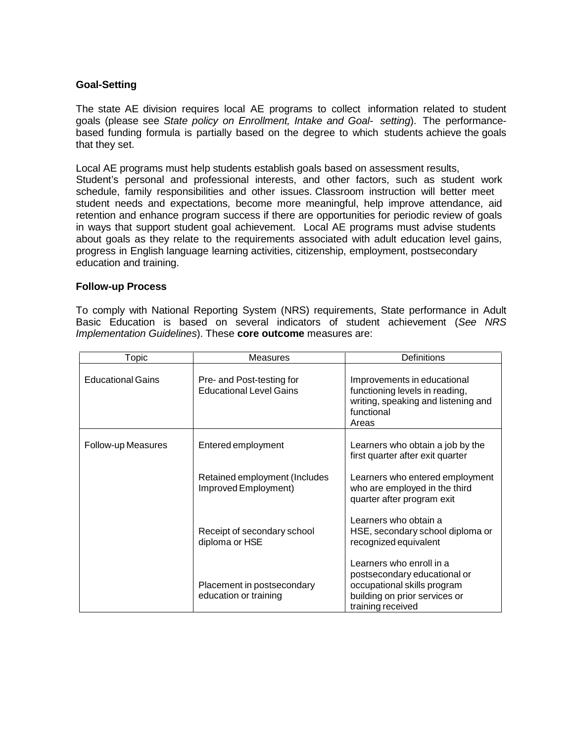## **Goal-Setting**

The state AE division requires local AE programs to collect information related to student goals (please see *State policy on Enrollment, Intake and Goal- setting*). The performancebased funding formula is partially based on the degree to which students achieve the goals that they set.

Local AE programs must help students establish goals based on assessment results, Student's personal and professional interests, and other factors, such as student work schedule, family responsibilities and other issues. Classroom instruction will better meet student needs and expectations, become more meaningful, help improve attendance, aid retention and enhance program success if there are opportunities for periodic review of goals in ways that support student goal achievement. Local AE programs must advise students about goals as they relate to the requirements associated with adult education level gains, progress in English language learning activities, citizenship, employment, postsecondary education and training.

### **Follow-up Process**

To comply with National Reporting System (NRS) requirements, State performance in Adult Basic Education is based on several indicators of student achievement (*See NRS Implementation Guidelines*). These **core outcome** measures are:

| Topic                    | <b>Measures</b>                                             | Definitions                                                                                                                                   |
|--------------------------|-------------------------------------------------------------|-----------------------------------------------------------------------------------------------------------------------------------------------|
| <b>Educational Gains</b> | Pre- and Post-testing for<br><b>Educational Level Gains</b> | Improvements in educational<br>functioning levels in reading,<br>writing, speaking and listening and<br>functional<br>Areas                   |
| Follow-up Measures       | Entered employment                                          | Learners who obtain a job by the<br>first quarter after exit quarter                                                                          |
|                          | Retained employment (Includes<br>Improved Employment)       | Learners who entered employment<br>who are employed in the third<br>quarter after program exit                                                |
|                          | Receipt of secondary school<br>diploma or HSE               | Learners who obtain a<br>HSE, secondary school diploma or<br>recognized equivalent                                                            |
|                          | Placement in postsecondary<br>education or training         | Learners who enroll in a<br>postsecondary educational or<br>occupational skills program<br>building on prior services or<br>training received |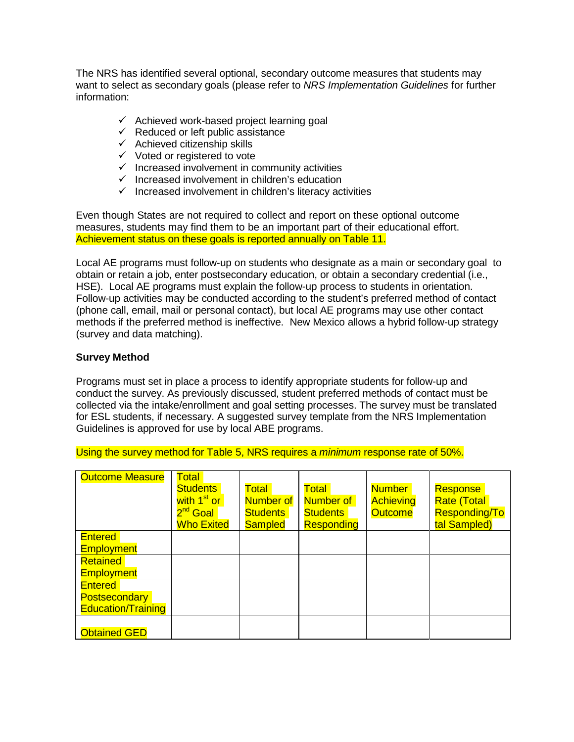The NRS has identified several optional, secondary outcome measures that students may want to select as secondary goals (please refer to *NRS Implementation Guidelines* for further information:

- $\checkmark$  Achieved work-based project learning goal
- $\checkmark$  Reduced or left public assistance
- $\checkmark$  Achieved citizenship skills
- $\checkmark$  Voted or registered to vote
- $\checkmark$  Increased involvement in community activities
- $\checkmark$  Increased involvement in children's education
- $\checkmark$  Increased involvement in children's literacy activities

Even though States are not required to collect and report on these optional outcome measures, students may find them to be an important part of their educational effort. Achievement status on these goals is reported annually on Table 11.

Local AE programs must follow-up on students who designate as a main or secondary goal to obtain or retain a job, enter postsecondary education, or obtain a secondary credential (i.e., HSE). Local AE programs must explain the follow-up process to students in orientation. Follow-up activities may be conducted according to the student's preferred method of contact (phone call, email, mail or personal contact), but local AE programs may use other contact methods if the preferred method is ineffective. New Mexico allows a hybrid follow-up strategy (survey and data matching).

## **Survey Method**

Programs must set in place a process to identify appropriate students for follow-up and conduct the survey. As previously discussed, student preferred methods of contact must be collected via the intake/enrollment and goal setting processes. The survey must be translated for ESL students, if necessary. A suggested survey template from the NRS Implementation Guidelines is approved for use by local ABE programs.

Using the survey method for Table 5, NRS requires a *minimum* response rate of 50%.

| <b>Outcome Measure</b>    | <b>Total</b><br><b>Students</b><br>with 1 <sup>st</sup> or<br>2 <sup>nd</sup> Goal<br><b>Who Exited</b> | <b>Total</b><br>Number of<br><b>Students</b><br><b>Sampled</b> | Total<br>Number of<br><b>Students</b><br><b>Responding</b> | Number<br><b>Achieving</b><br><b>Outcome</b> | Response<br><b>Rate (Total</b><br>Responding/To<br>tal Sampled) |
|---------------------------|---------------------------------------------------------------------------------------------------------|----------------------------------------------------------------|------------------------------------------------------------|----------------------------------------------|-----------------------------------------------------------------|
| <b>Entered</b>            |                                                                                                         |                                                                |                                                            |                                              |                                                                 |
| <b>Employment</b>         |                                                                                                         |                                                                |                                                            |                                              |                                                                 |
| <b>Retained</b>           |                                                                                                         |                                                                |                                                            |                                              |                                                                 |
| <b>Employment</b>         |                                                                                                         |                                                                |                                                            |                                              |                                                                 |
| <b>Entered</b>            |                                                                                                         |                                                                |                                                            |                                              |                                                                 |
| <b>Postsecondary</b>      |                                                                                                         |                                                                |                                                            |                                              |                                                                 |
| <b>Education/Training</b> |                                                                                                         |                                                                |                                                            |                                              |                                                                 |
|                           |                                                                                                         |                                                                |                                                            |                                              |                                                                 |
| <b>Obtained GED</b>       |                                                                                                         |                                                                |                                                            |                                              |                                                                 |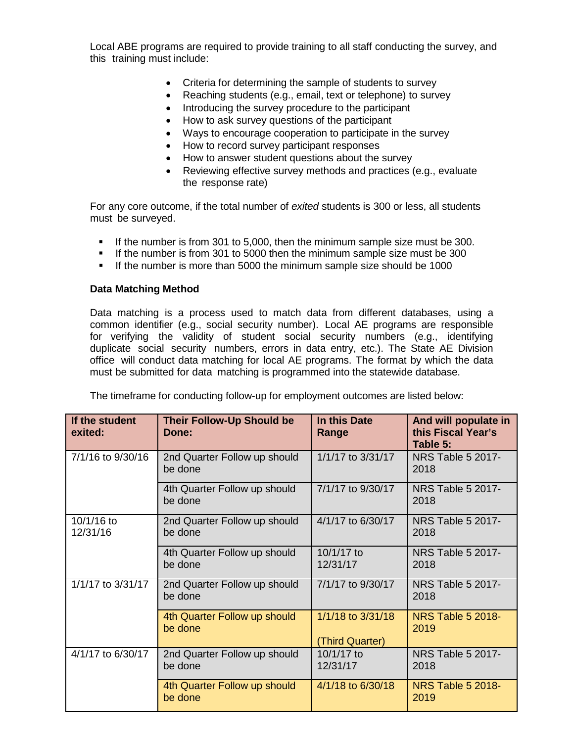Local ABE programs are required to provide training to all staff conducting the survey, and this training must include:

- Criteria for determining the sample of students to survey
- Reaching students (e.g., email, text or telephone) to survey
- Introducing the survey procedure to the participant
- How to ask survey questions of the participant
- Ways to encourage cooperation to participate in the survey
- How to record survey participant responses
- How to answer student questions about the survey
- Reviewing effective survey methods and practices (e.g., evaluate the response rate)

For any core outcome, if the total number of *exited* students is 300 or less, all students must be surveyed.

- If the number is from 301 to 5,000, then the minimum sample size must be 300.
- If the number is from 301 to 5000 then the minimum sample size must be 300
- If the number is more than 5000 the minimum sample size should be 1000

## **Data Matching Method**

Data matching is a process used to match data from different databases, using a common identifier (e.g., social security number). Local AE programs are responsible for verifying the validity of student social security numbers (e.g., identifying duplicate social security numbers, errors in data entry, etc.). The State AE Division office will conduct data matching for local AE programs. The format by which the data must be submitted for data matching is programmed into the statewide database.

The timeframe for conducting follow-up for employment outcomes are listed below:

| If the student<br>exited: | <b>Their Follow-Up Should be</b><br>Done: | In this Date<br>Range                | And will populate in<br>this Fiscal Year's<br>Table 5: |  |  |
|---------------------------|-------------------------------------------|--------------------------------------|--------------------------------------------------------|--|--|
| 7/1/16 to 9/30/16         | 2nd Quarter Follow up should<br>be done   | 1/1/17 to 3/31/17                    | <b>NRS Table 5 2017-</b><br>2018                       |  |  |
|                           | 4th Quarter Follow up should<br>be done   | 7/1/17 to 9/30/17                    | <b>NRS Table 5 2017-</b><br>2018                       |  |  |
| 10/1/16 to<br>12/31/16    | 2nd Quarter Follow up should<br>be done   | 4/1/17 to 6/30/17                    | <b>NRS Table 5 2017-</b><br>2018                       |  |  |
|                           | 4th Quarter Follow up should<br>be done   | 10/1/17 to<br>12/31/17               | <b>NRS Table 5 2017-</b><br>2018                       |  |  |
| 1/1/17 to 3/31/17         | 2nd Quarter Follow up should<br>be done   | 7/1/17 to 9/30/17                    | <b>NRS Table 5 2017-</b><br>2018                       |  |  |
|                           | 4th Quarter Follow up should<br>be done   | 1/1/18 to 3/31/18<br>(Third Quarter) | <b>NRS Table 5 2018-</b><br>2019                       |  |  |
| 4/1/17 to 6/30/17         | 2nd Quarter Follow up should<br>be done   | 10/1/17 to<br>12/31/17               | <b>NRS Table 5 2017-</b><br>2018                       |  |  |
|                           | 4th Quarter Follow up should<br>be done   | 4/1/18 to 6/30/18                    | <b>NRS Table 5 2018-</b><br>2019                       |  |  |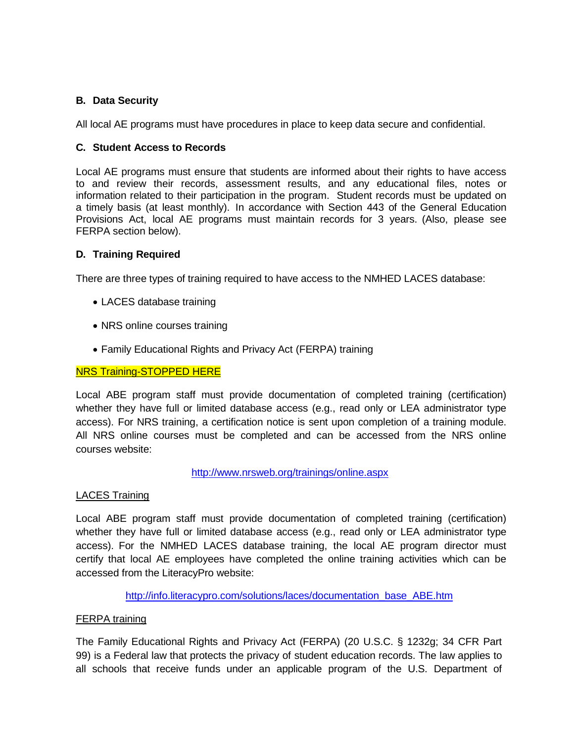# **B. Data Security**

All local AE programs must have procedures in place to keep data secure and confidential.

## **C. Student Access to Records**

Local AE programs must ensure that students are informed about their rights to have access to and review their records, assessment results, and any educational files, notes or information related to their participation in the program. Student records must be updated on a timely basis (at least monthly). In accordance with Section 443 of the General Education Provisions Act, local AE programs must maintain records for 3 years. (Also, please see FERPA section below).

## **D. Training Required**

There are three types of training required to have access to the NMHED LACES database:

- LACES database training
- NRS online courses training
- Family Educational Rights and Privacy Act (FERPA) training

### NRS Training-STOPPED HERE

Local ABE program staff must provide documentation of completed training (certification) whether they have full or limited database access (e.g., read only or LEA administrator type access). For NRS training, a certification notice is sent upon completion of a training module. All NRS online courses must be completed and can be accessed from the NRS online courses website:

<http://www.nrsweb.org/trainings/online.aspx>

### LACES Training

Local ABE program staff must provide documentation of completed training (certification) whether they have full or limited database access (e.g., read only or LEA administrator type access). For the NMHED LACES database training, the local AE program director must certify that local AE employees have completed the online training activities which can be accessed from the LiteracyPro website:

[http://info.literacypro.com/solutions/laces/documentation\\_base\\_ABE.htm](http://info.literacypro.com/solutions/laces/documentation_base_ABE.htm)

### FERPA training

The Family Educational Rights and Privacy Act (FERPA) (20 U.S.C. § 1232g; 34 CFR Part 99) is a Federal law that protects the privacy of student education records. The law applies to all schools that receive funds under an applicable program of the U.S. Department of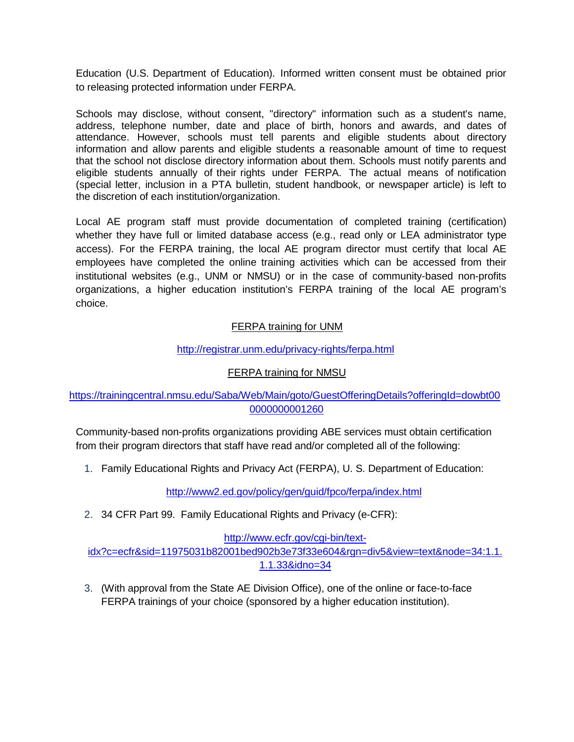Education (U.S. Department of Education). Informed written consent must be obtained prior to releasing protected information under FERPA.

Schools may disclose, without consent, "directory" information such as a student's name, address, telephone number, date and place of birth, honors and awards, and dates of attendance. However, schools must tell parents and eligible students about directory information and allow parents and eligible students a reasonable amount of time to request that the school not disclose directory information about them. Schools must notify parents and eligible students annually of their rights under FERPA. The actual means of notification (special letter, inclusion in a PTA bulletin, student handbook, or newspaper article) is left to the discretion of each institution/organization.

Local AE program staff must provide documentation of completed training (certification) whether they have full or limited database access (e.g., read only or LEA administrator type access). For the FERPA training, the local AE program director must certify that local AE employees have completed the online training activities which can be accessed from their institutional websites (e.g., UNM or NMSU) or in the case of community-based non-profits organizations, a higher education institution's FERPA training of the local AE program's choice.

# FERPA training for UNM

# <http://registrar.unm.edu/privacy-rights/ferpa.html>

# FERPA training for NMSU

# [https://trainingcentral.nmsu.edu/Saba/Web/Main/goto/GuestOfferingDetails?offeringId=dowbt00](https://trainingcentral.nmsu.edu/Saba/Web/Main/goto/GuestOfferingDetails?offeringId=dowbt000000000001260) [0000000001260](https://trainingcentral.nmsu.edu/Saba/Web/Main/goto/GuestOfferingDetails?offeringId=dowbt000000000001260)

Community-based non-profits organizations providing ABE services must obtain certification from their program directors that staff have read and/or completed all of the following:

1. Family Educational Rights and Privacy Act (FERPA), U. S. Department of Education:

<http://www2.ed.gov/policy/gen/guid/fpco/ferpa/index.html>

2. 34 CFR Part 99. Family Educational Rights and Privacy (e-CFR):

### [http://www.ecfr.gov/cgi-bin/text-](http://www.ecfr.gov/cgi-bin/text-idx?c=ecfr&sid=11975031b82001bed902b3e73f33e604&rgn=div5&view=text&node=34%3A1.1.1.1.33&idno=34)

[idx?c=ecfr&sid=11975031b82001bed902b3e73f33e604&rgn=div5&view=text&node=34:1.1.](http://www.ecfr.gov/cgi-bin/text-idx?c=ecfr&sid=11975031b82001bed902b3e73f33e604&rgn=div5&view=text&node=34%3A1.1.1.1.33&idno=34) [1.1.33&idno=34](http://www.ecfr.gov/cgi-bin/text-idx?c=ecfr&sid=11975031b82001bed902b3e73f33e604&rgn=div5&view=text&node=34%3A1.1.1.1.33&idno=34)

3. (With approval from the State AE Division Office), one of the online or face-to-face FERPA trainings of your choice (sponsored by a higher education institution).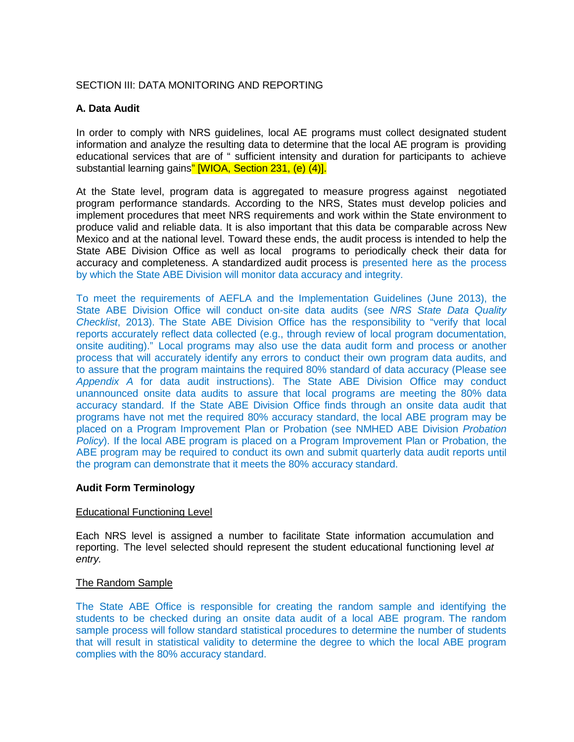## SECTION III: DATA MONITORING AND REPORTING

## **A. Data Audit**

In order to comply with NRS guidelines, local AE programs must collect designated student information and analyze the resulting data to determine that the local AE program is providing educational services that are of " sufficient intensity and duration for participants to achieve substantial learning gains" [WIOA, Section 231, (e) (4)].

At the State level, program data is aggregated to measure progress against negotiated program performance standards. According to the NRS, States must develop policies and implement procedures that meet NRS requirements and work within the State environment to produce valid and reliable data. It is also important that this data be comparable across New Mexico and at the national level. Toward these ends, the audit process is intended to help the State ABE Division Office as well as local programs to periodically check their data for accuracy and completeness. A standardized audit process is presented here as the process by which the State ABE Division will monitor data accuracy and integrity.

To meet the requirements of AEFLA and the Implementation Guidelines (June 2013), the State ABE Division Office will conduct on-site data audits (see *NRS State Data Quality Checklist*, 2013). The State ABE Division Office has the responsibility to "verify that local reports accurately reflect data collected (e.g., through review of local program documentation, onsite auditing)." Local programs may also use the data audit form and process or another process that will accurately identify any errors to conduct their own program data audits, and to assure that the program maintains the required 80% standard of data accuracy (Please see *Appendix A* for data audit instructions). The State ABE Division Office may conduct unannounced onsite data audits to assure that local programs are meeting the 80% data accuracy standard. If the State ABE Division Office finds through an onsite data audit that programs have not met the required 80% accuracy standard, the local ABE program may be placed on a Program Improvement Plan or Probation (see NMHED ABE Division *Probation Policy*). If the local ABE program is placed on a Program Improvement Plan or Probation, the ABE program may be required to conduct its own and submit quarterly data audit reports until the program can demonstrate that it meets the 80% accuracy standard.

### **Audit Form Terminology**

### Educational Functioning Level

Each NRS level is assigned a number to facilitate State information accumulation and reporting. The level selected should represent the student educational functioning level *at entry.*

#### The Random Sample

The State ABE Office is responsible for creating the random sample and identifying the students to be checked during an onsite data audit of a local ABE program. The random sample process will follow standard statistical procedures to determine the number of students that will result in statistical validity to determine the degree to which the local ABE program complies with the 80% accuracy standard.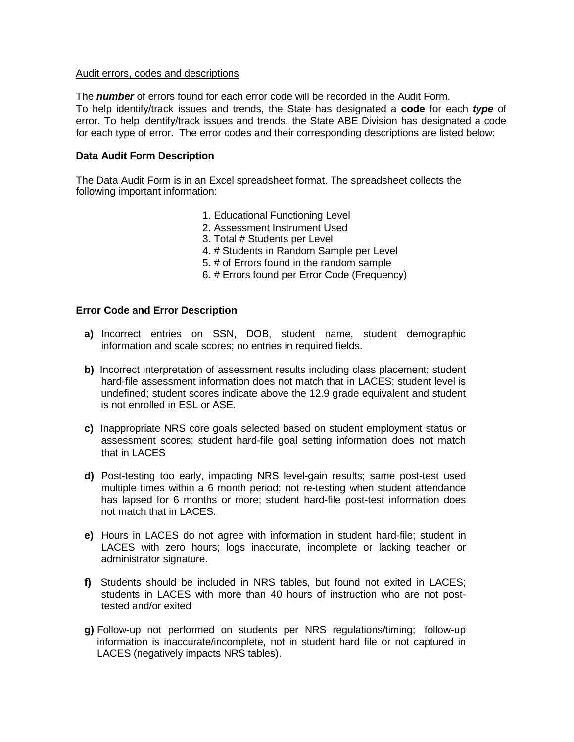#### Audit errors, codes and descriptions

The *number* of errors found for each error code will be recorded in the Audit Form. To help identify/track issues and trends, the State has designated a **code** for each *type* of error. To help identify/track issues and trends, the State ABE Division has designated a code for each type of error. The error codes and their corresponding descriptions are listed below:

### **Data Audit Form Description**

The Data Audit Form is in an Excel spreadsheet format. The spreadsheet collects the following important information:

- 1. Educational Functioning Level
- 2. Assessment Instrument Used
- 3. Total # Students per Level
- 4. # Students in Random Sample per Level
- 5. # of Errors found in the random sample
- 6. # Errors found per Error Code (Frequency)

## **Error Code and Error Description**

- **a)** Incorrect entries on SSN, DOB, student name, student demographic information and scale scores; no entries in required fields.
- **b)** Incorrect interpretation of assessment results including class placement; student hard-file assessment information does not match that in LACES; student level is undefined; student scores indicate above the 12.9 grade equivalent and student is not enrolled in ESL or ASE.
- **c)** Inappropriate NRS core goals selected based on student employment status or assessment scores; student hard-file goal setting information does not match that in LACES
- **d)** Post-testing too early, impacting NRS level-gain results; same post-test used multiple times within a 6 month period; not re-testing when student attendance has lapsed for 6 months or more; student hard-file post-test information does not match that in LACES.
- **e)** Hours in LACES do not agree with information in student hard-file; student in LACES with zero hours; logs inaccurate, incomplete or lacking teacher or administrator signature.
- **f)** Students should be included in NRS tables, but found not exited in LACES; students in LACES with more than 40 hours of instruction who are not posttested and/or exited
- **g)** Follow-up not performed on students per NRS regulations/timing; follow-up information is inaccurate/incomplete, not in student hard file or not captured in LACES (negatively impacts NRS tables).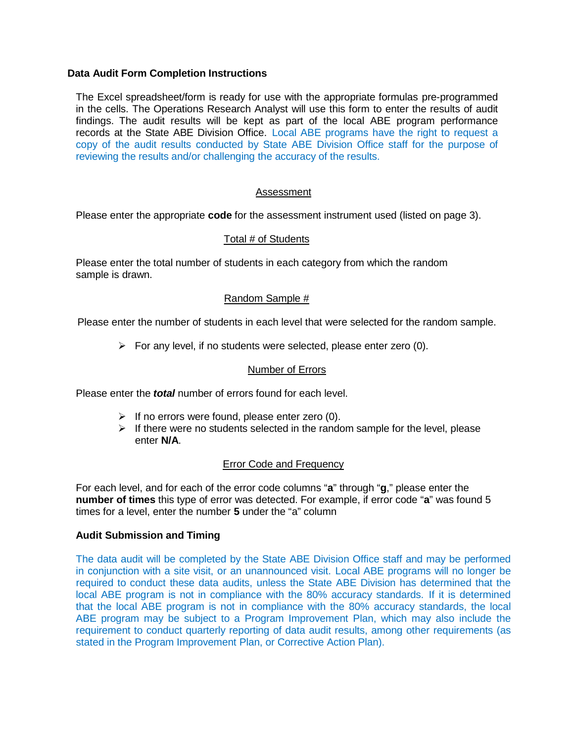## **Data Audit Form Completion Instructions**

The Excel spreadsheet/form is ready for use with the appropriate formulas pre-programmed in the cells. The Operations Research Analyst will use this form to enter the results of audit findings. The audit results will be kept as part of the local ABE program performance records at the State ABE Division Office. Local ABE programs have the right to request a copy of the audit results conducted by State ABE Division Office staff for the purpose of reviewing the results and/or challenging the accuracy of the results.

## Assessment

Please enter the appropriate **code** for the assessment instrument used (listed on page 3).

# Total # of Students

Please enter the total number of students in each category from which the random sample is drawn.

## Random Sample #

Please enter the number of students in each level that were selected for the random sample.

 $\triangleright$  For any level, if no students were selected, please enter zero (0).

### Number of Errors

Please enter the *total* number of errors found for each level.

- $\triangleright$  If no errors were found, please enter zero (0).
- $\triangleright$  If there were no students selected in the random sample for the level, please enter **N/A**.

### Error Code and Frequency

For each level, and for each of the error code columns "**a**" through "**g**," please enter the **number of times** this type of error was detected. For example, if error code "**a**" was found 5 times for a level, enter the number **5** under the "a" column

### **Audit Submission and Timing**

The data audit will be completed by the State ABE Division Office staff and may be performed in conjunction with a site visit, or an unannounced visit. Local ABE programs will no longer be required to conduct these data audits, unless the State ABE Division has determined that the local ABE program is not in compliance with the 80% accuracy standards. If it is determined that the local ABE program is not in compliance with the 80% accuracy standards, the local ABE program may be subject to a Program Improvement Plan, which may also include the requirement to conduct quarterly reporting of data audit results, among other requirements (as stated in the Program Improvement Plan, or Corrective Action Plan).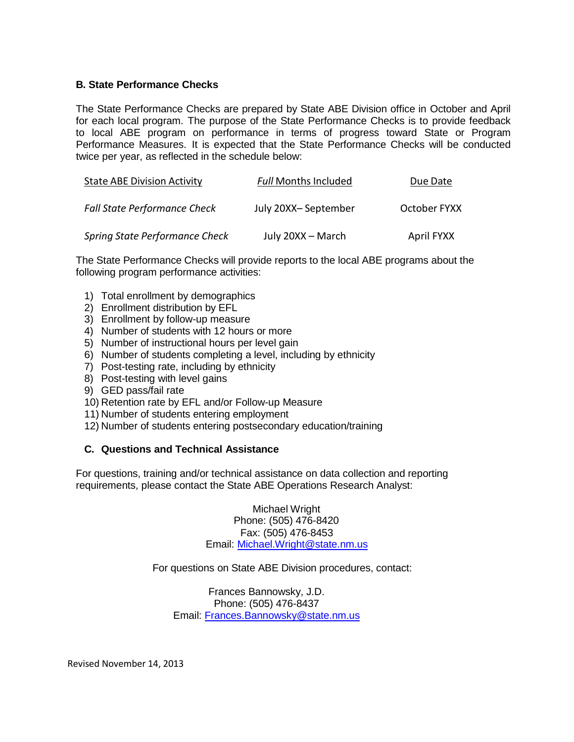## **B. State Performance Checks**

The State Performance Checks are prepared by State ABE Division office in October and April for each local program. The purpose of the State Performance Checks is to provide feedback to local ABE program on performance in terms of progress toward State or Program Performance Measures. It is expected that the State Performance Checks will be conducted twice per year, as reflected in the schedule below:

| <b>State ABE Division Activity</b>  | <b>Full Months Included</b> | Due Date     |
|-------------------------------------|-----------------------------|--------------|
| <b>Fall State Performance Check</b> | July 20XX-September         | October FYXX |
| Spring State Performance Check      | July 20XX - March           | April FYXX   |

The State Performance Checks will provide reports to the local ABE programs about the following program performance activities:

- 1) Total enrollment by demographics
- 2) Enrollment distribution by EFL
- 3) Enrollment by follow-up measure
- 4) Number of students with 12 hours or more
- 5) Number of instructional hours per level gain
- 6) Number of students completing a level, including by ethnicity
- 7) Post-testing rate, including by ethnicity
- 8) Post-testing with level gains
- 9) GED pass/fail rate
- 10) Retention rate by EFL and/or Follow-up Measure
- 11) Number of students entering employment
- 12) Number of students entering postsecondary education/training

## **C. Questions and Technical Assistance**

For questions, training and/or technical assistance on data collection and reporting requirements, please contact the State ABE Operations Research Analyst:

> Michael Wright Phone: (505) 476-8420 Fax: (505) 476-8453 Email: [Michael.Wright@state.nm.us](mailto:Michael.Wright@state.nm.us)

For questions on State ABE Division procedures, contact:

Frances Bannowsky, J.D. Phone: (505) 476-8437 Email: [Frances.Bannowsky@state.nm.us](mailto:Frances.Bannowsky@state.nm.us)

Revised November 14, 2013